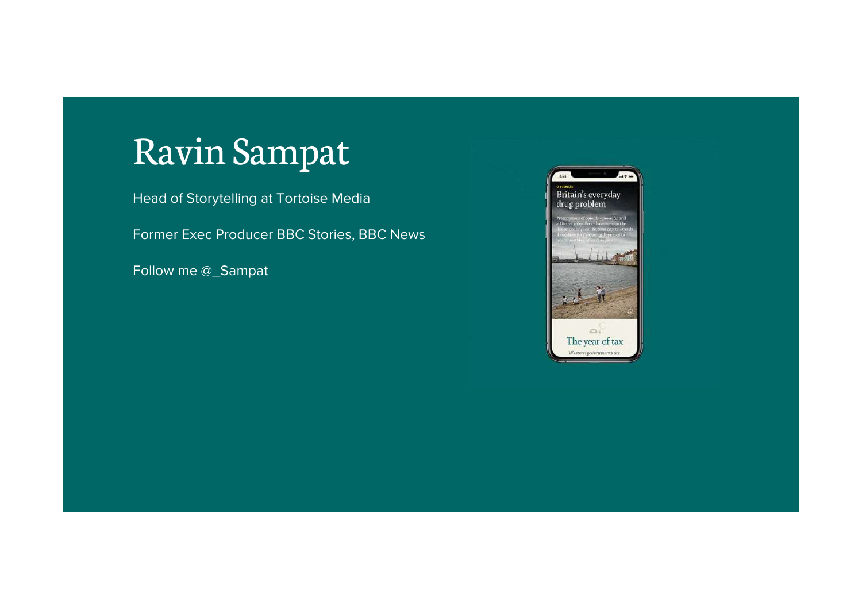# Ravin Sampat

Head of Storytelling at Tortoise Media

Former Exec Producer BBC Stories, BBC News

Follow me @\_Sampat

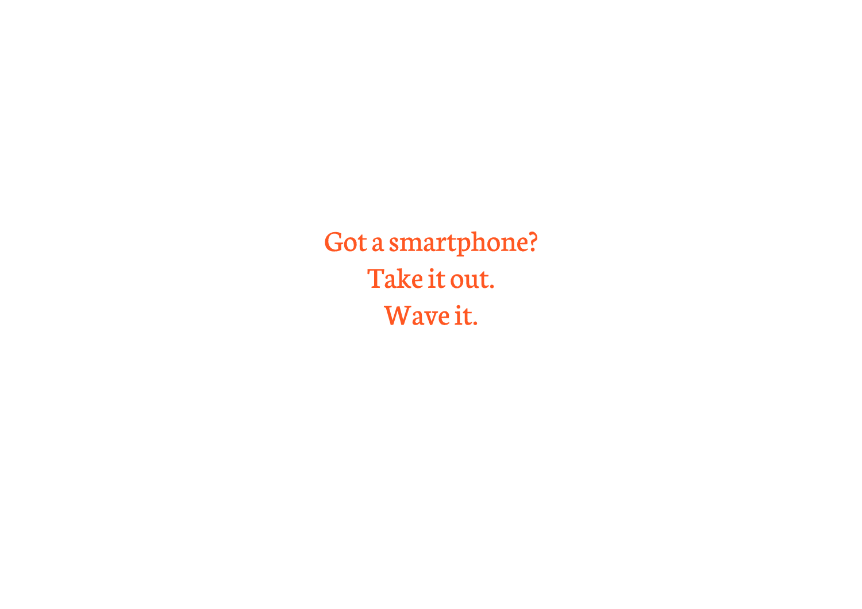Got a smartphone?Take it out. Wave it.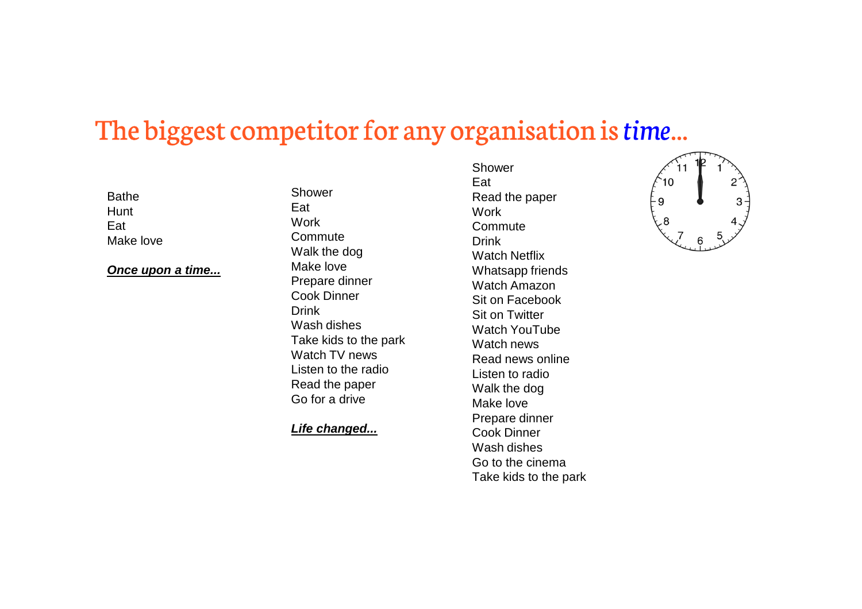# The biggest competitor for any organisation is *time*...

Bathe HuntEatMake love

**Once upon a time...**

ShowerEat Work Commute Walk the dogMake love Prepare dinnerCook DinnerDrink Wash dishes Take kids to the parkWatch TV news Listen to the radioRead the paperGo for a drive

**Life changed...**

ShowerEat Read the paperWork CommuteDrink Watch Netflix Whatsapp friendsWatch Amazon Sit on FacebookSit on Twitter Watch YouTubeWatch news Read news onlineListen to radio Walk the dogMake love Prepare dinnerCook Dinner Wash dishes Go to the cinemaTake kids to the park

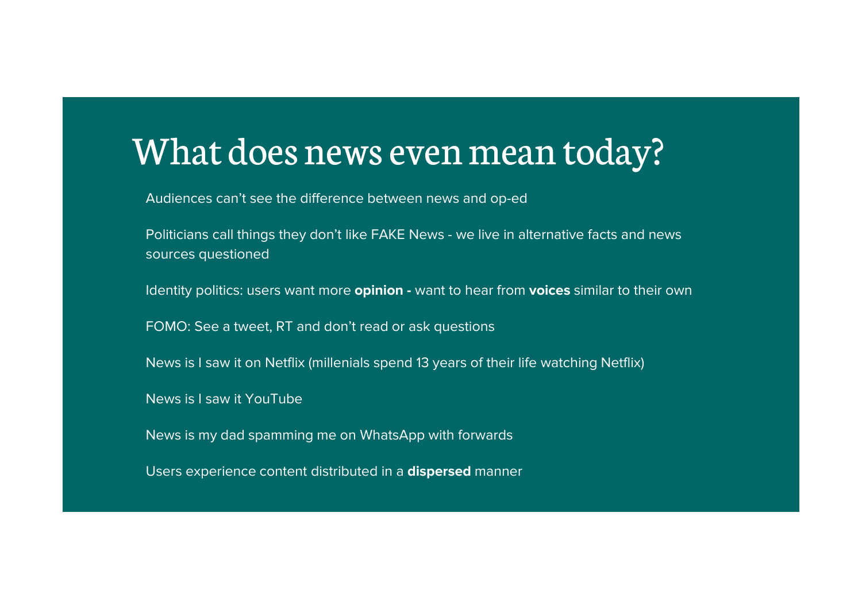# What does news even mean today?

Audiences can't see the difference between news and op-ed

Politicians call things they don't like FAKE News - we live in alternative facts and news sources questioned

Identity politics: users want more **opinion -** want to hear from **voices** similar to their own

FOMO: See a tweet, RT and don't read or ask questions

News is I saw it on Netflix (millenials spend 13 years of their life watching Netflix)

News is I saw it YouTube

News is my dad spamming me on WhatsApp with forwards

Users experience content distributed in a **dispersed** manner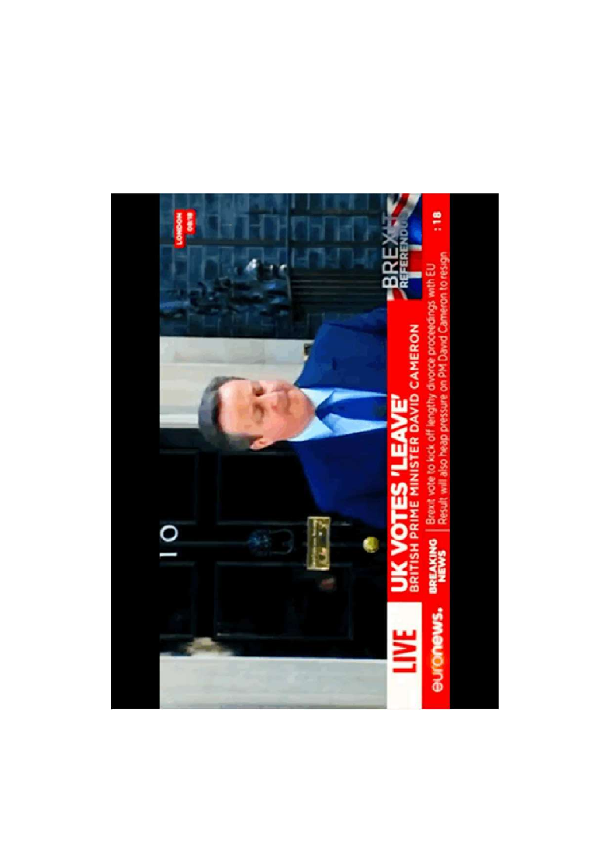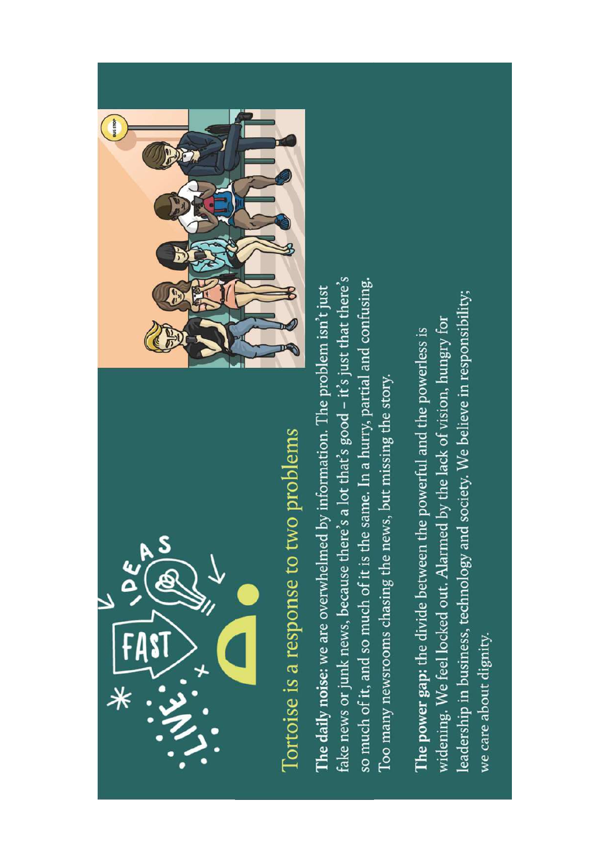

# Tortoise is a response to two problems



fake news or junk news, because there's a lot that's good - it's just that there's so much of it, and so much of it is the same. In a hurry, partial and confusing. The daily noise: we are overwhelmed by information. The problem isn't just Too many newsrooms chasing the news, but missing the story.

leadership in business, technology and society. We believe in responsibility; widening. We feel locked out. Alarmed by the lack of vision, hungry for The power gap: the divide between the powerful and the powerless is we care about dignity.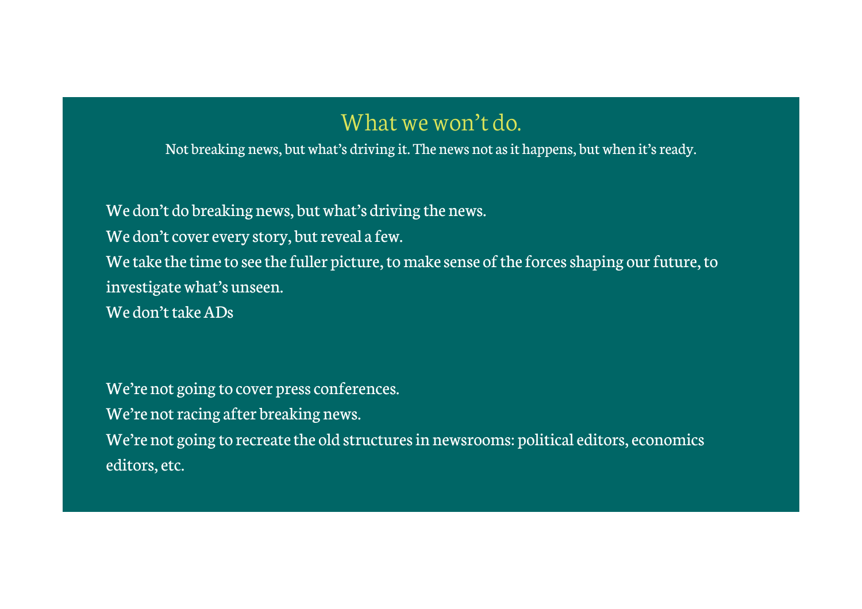### What we won't do.

Not breaking news, but what's driving it. The news not as it happens, but when it's ready.

We don't do breaking news, but what's driving the news. We don't cover every story, but reveal a few. We take the time to see the fuller picture, to make sense of the forces shaping our future, to investigate what's unseen. We don't take ADs

We're not going to cover press conferences. We're not racing after breaking news. We're not going to recreate the old structures in newsrooms: political editors, economics editors, etc.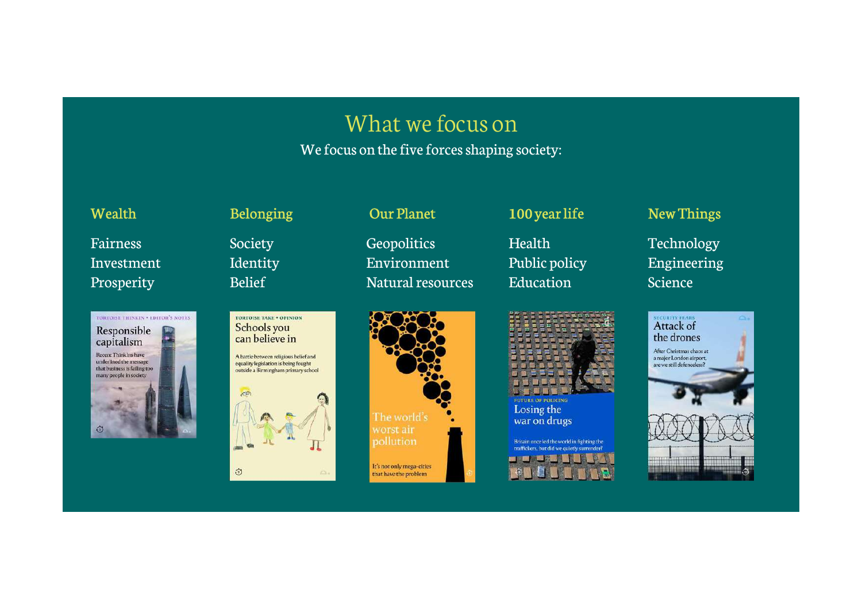# What we focus on

We focus on the five forces shaping society:

### Wealth

FairnessInvestmentProsperity



Society IdentityBelief



A battle between religious belief and equality legislation is being fought outside a Birmingham primary school



**Geopolitics** EnvironmentNatural resources



Health Public policyEducation



UTURE OF POLICING Losing the war on drugs



### Belonging Our Planet 100 year life New Things

Technology EngineeringScience

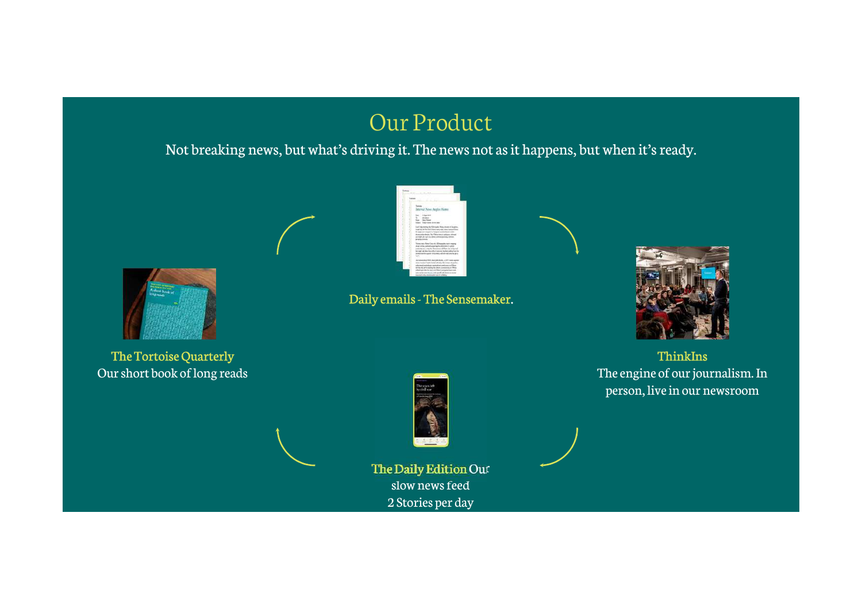# Our Product

### Not breaking news, but what's driving it. The news not as it happens, but when it's ready.



Daily emails - The Sensemaker.



ThinkIns The engine of our journalism. In person, live in our newsroom



The Tortoise QuarterlyOur short book of long reads



The Daily EditionOur slow news feed2 Stories per day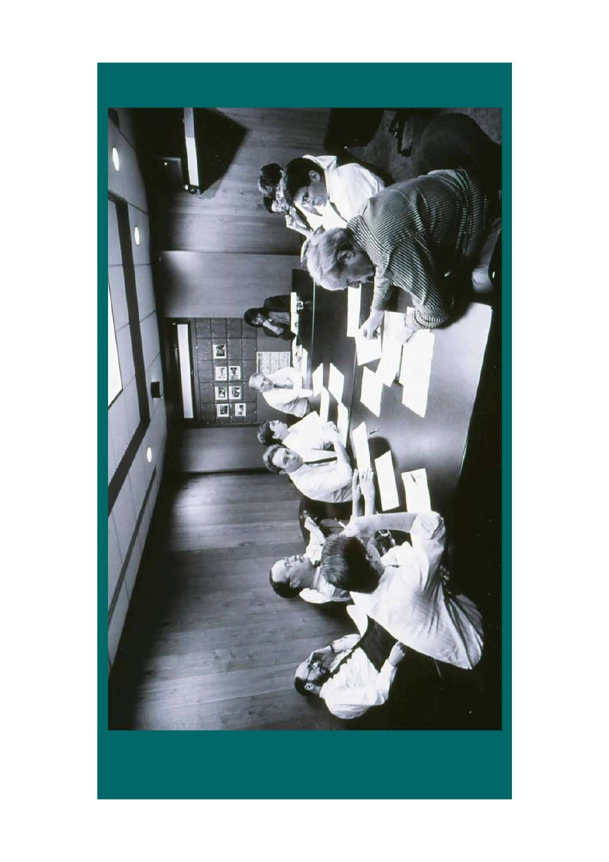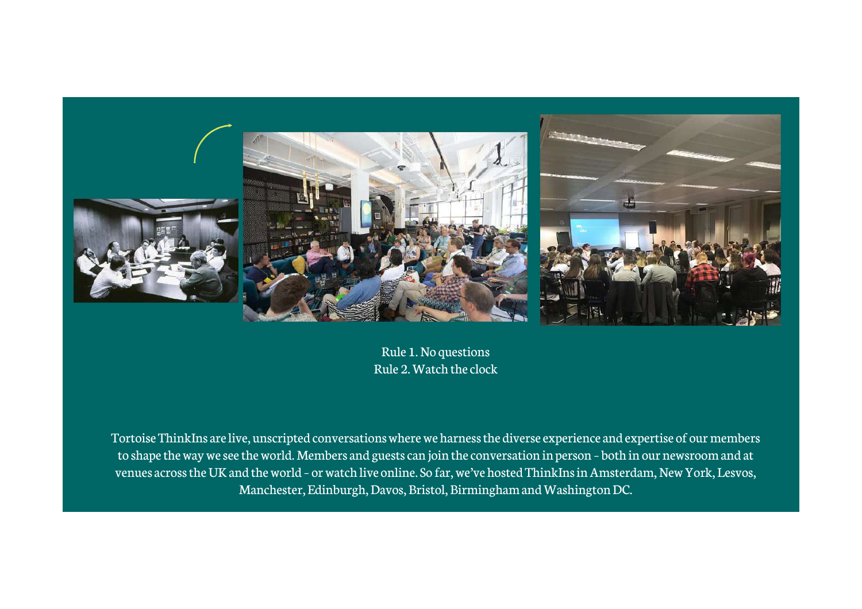

Rule 1. No questionsRule 2. Watch the clock

Tortoise ThinkIns are live, unscripted conversations where we harness the diverse experience and expertise of our members to shape the way we see the world. Members and guests can join the conversation in person – both in our newsroom and at venues across the UK and the world – or watch live online. So far, we've hosted ThinkIns in Amsterdam, New York, Lesvos, Manchester, Edinburgh, Davos, Bristol, Birmingham and Washington DC.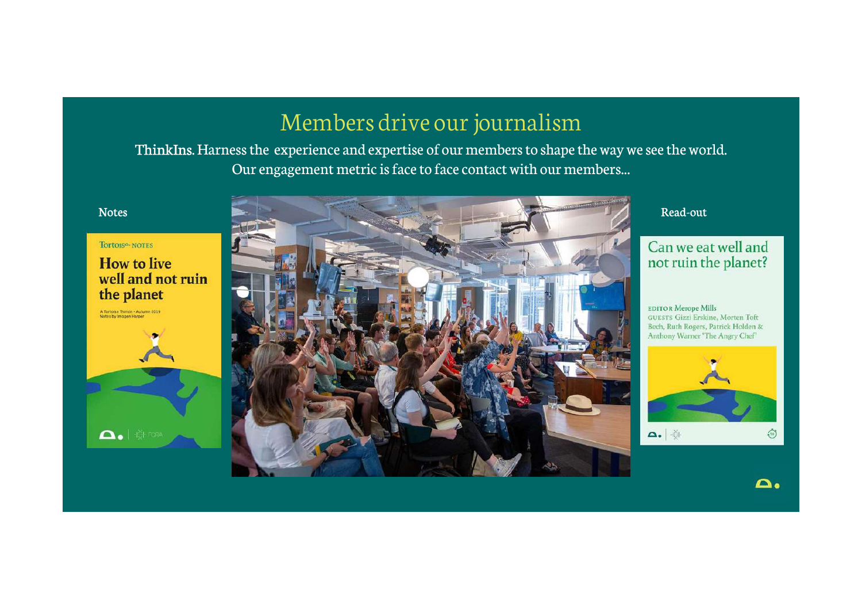# Members drive our journalism

 ThinkIns. Harness the experience and expertise of our members to shape the way we see the world. Our engagement metric is face to face contact with our members...

### Notes

### Tortoise NOTES

### **How to live** well and not ruin the planet

A Tortoise Thinkin - Autumn 2019<br>Notes by Imogen Harper





### Can we eat well and not ruin the planet?

**EDITOR Merope Mills** GUESTS Gizzi Erskine, Morten Toft Bech, Ruth Rogers, Patrick Holden & Anthony Warner 'The Angry Chef'



 $\Delta$ .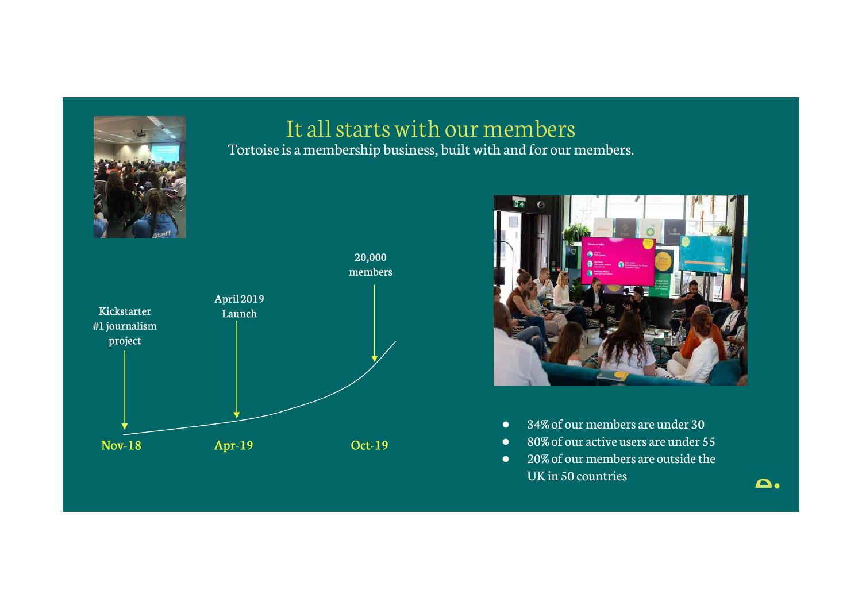

# It all starts with our members

Tortoise is a membership business, built with and for our members.





- ●34% of our members are under 30
- ●80% of our active users are under 55
- ● 20% of our members are outside the UK in 50 countries

 $\Delta$ .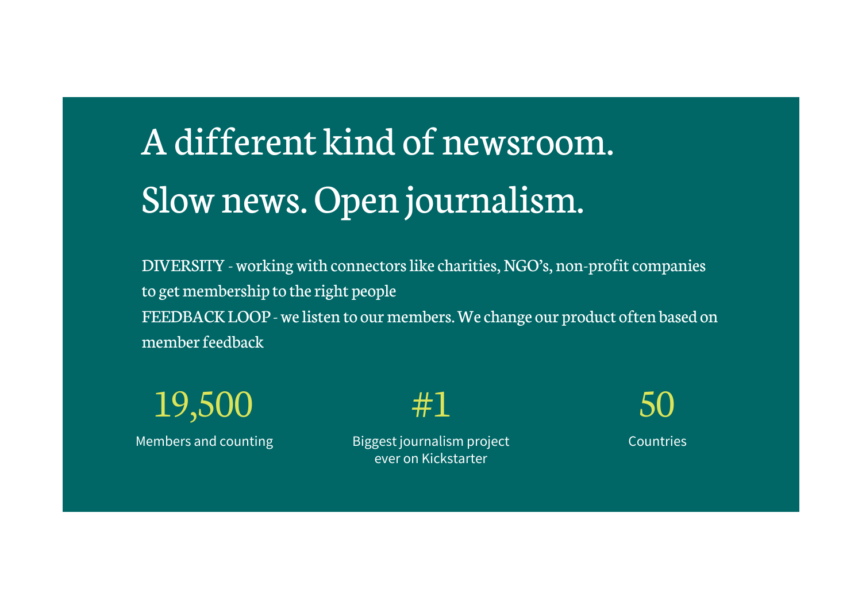# A different kind of newsroom. Slow news. Open journalism.

DIVERSITY - working with connectors like charities, NGO's, non-profit companies to get membership to the right peopleFEEDBACK LOOP - we listen to our members. We change our product often based on member feedback

19,500Members and counting

#1

 Biggest journalism project ever on Kickstarter

50Countries